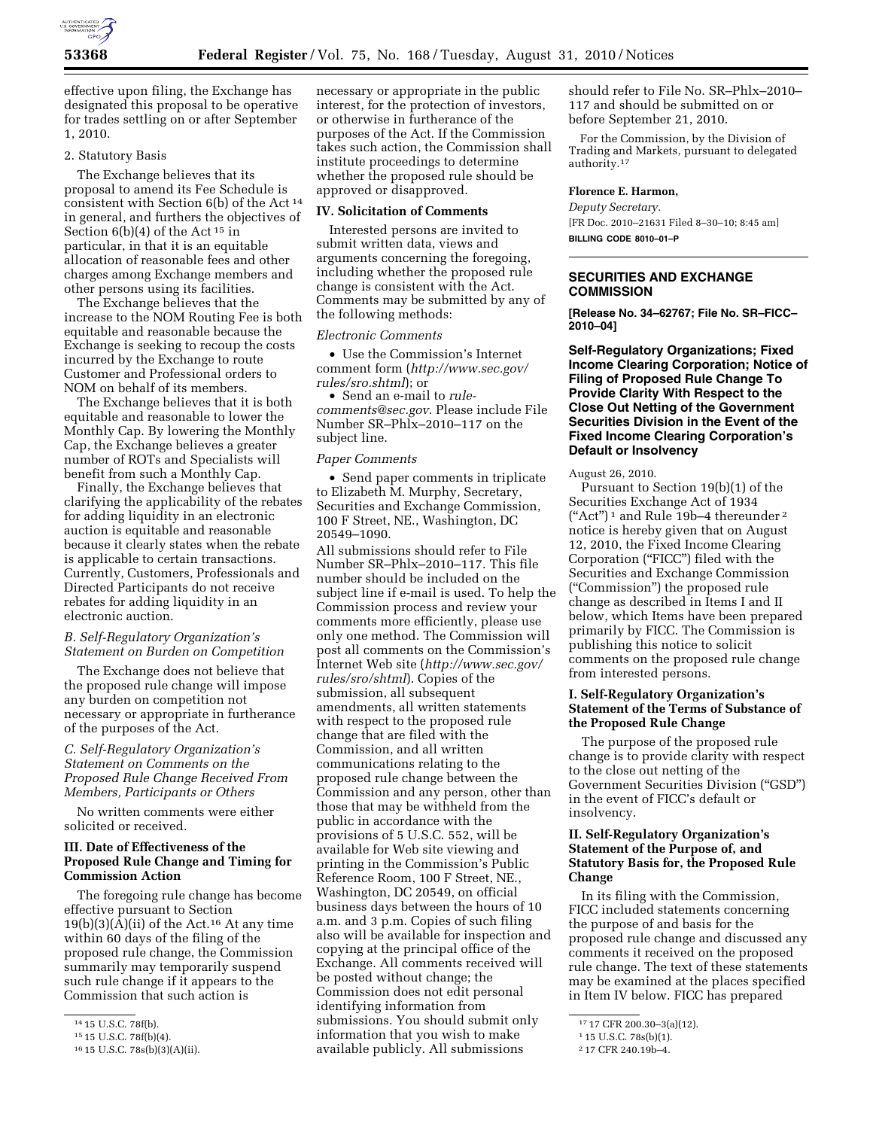

effective upon filing, the Exchange has designated this proposal to be operative for trades settling on or after September 1, 2010.

# 2. Statutory Basis

The Exchange believes that its proposal to amend its Fee Schedule is consistent with Section 6(b) of the Act 14 in general, and furthers the objectives of Section  $6(b)(4)$  of the Act<sup>15</sup> in particular, in that it is an equitable allocation of reasonable fees and other charges among Exchange members and other persons using its facilities.

The Exchange believes that the increase to the NOM Routing Fee is both equitable and reasonable because the Exchange is seeking to recoup the costs incurred by the Exchange to route Customer and Professional orders to NOM on behalf of its members.

The Exchange believes that it is both equitable and reasonable to lower the Monthly Cap. By lowering the Monthly Cap, the Exchange believes a greater number of ROTs and Specialists will benefit from such a Monthly Cap.

Finally, the Exchange believes that clarifying the applicability of the rebates for adding liquidity in an electronic auction is equitable and reasonable because it clearly states when the rebate is applicable to certain transactions. Currently, Customers, Professionals and Directed Participants do not receive rebates for adding liquidity in an electronic auction.

### *B. Self-Regulatory Organization's Statement on Burden on Competition*

The Exchange does not believe that the proposed rule change will impose any burden on competition not necessary or appropriate in furtherance of the purposes of the Act.

# *C. Self-Regulatory Organization's Statement on Comments on the Proposed Rule Change Received From Members, Participants or Others*

No written comments were either solicited or received.

## **III. Date of Effectiveness of the Proposed Rule Change and Timing for Commission Action**

The foregoing rule change has become effective pursuant to Section  $19(b)(3)(A)(ii)$  of the Act.<sup>16</sup> At any time within 60 days of the filing of the proposed rule change, the Commission summarily may temporarily suspend such rule change if it appears to the Commission that such action is

necessary or appropriate in the public interest, for the protection of investors, or otherwise in furtherance of the purposes of the Act. If the Commission takes such action, the Commission shall institute proceedings to determine whether the proposed rule should be approved or disapproved.

#### **IV. Solicitation of Comments**

Interested persons are invited to submit written data, views and arguments concerning the foregoing, including whether the proposed rule change is consistent with the Act. Comments may be submitted by any of the following methods:

#### *Electronic Comments*

• Use the Commission's Internet comment form (*[http://www.sec.gov/](http://www.sec.gov/rules/sro.shtml)  [rules/sro.shtml](http://www.sec.gov/rules/sro.shtml)*); or

• Send an e-mail to *[rule](mailto:rule-comments@sec.gov)[comments@sec.gov](mailto:rule-comments@sec.gov)*. Please include File Number SR–Phlx–2010–117 on the subject line.

#### *Paper Comments*

• Send paper comments in triplicate to Elizabeth M. Murphy, Secretary, Securities and Exchange Commission, 100 F Street, NE., Washington, DC 20549–1090.

All submissions should refer to File Number SR–Phlx–2010–117. This file number should be included on the subject line if e-mail is used. To help the Commission process and review your comments more efficiently, please use only one method. The Commission will post all comments on the Commission's Internet Web site (*[http://www.sec.gov/](http://www.sec.gov/rules/sro/shtml)  [rules/sro/shtml](http://www.sec.gov/rules/sro/shtml)*). Copies of the submission, all subsequent amendments, all written statements with respect to the proposed rule change that are filed with the Commission, and all written communications relating to the proposed rule change between the Commission and any person, other than those that may be withheld from the public in accordance with the provisions of 5 U.S.C. 552, will be available for Web site viewing and printing in the Commission's Public Reference Room, 100 F Street, NE., Washington, DC 20549, on official business days between the hours of 10 a.m. and 3 p.m. Copies of such filing also will be available for inspection and copying at the principal office of the Exchange. All comments received will be posted without change; the Commission does not edit personal identifying information from submissions. You should submit only information that you wish to make available publicly. All submissions

should refer to File No. SR–Phlx–2010– 117 and should be submitted on or before September 21, 2010.

For the Commission, by the Division of Trading and Markets, pursuant to delegated authority.17

#### **Florence E. Harmon,**

*Deputy Secretary.*  [FR Doc. 2010–21631 Filed 8–30–10; 8:45 am] **BILLING CODE 8010–01–P** 

## **SECURITIES AND EXCHANGE COMMISSION**

**[Release No. 34–62767; File No. SR–FICC– 2010–04]** 

**Self-Regulatory Organizations; Fixed Income Clearing Corporation; Notice of Filing of Proposed Rule Change To Provide Clarity With Respect to the Close Out Netting of the Government Securities Division in the Event of the Fixed Income Clearing Corporation's Default or Insolvency** 

August 26, 2010.

Pursuant to Section 19(b)(1) of the Securities Exchange Act of 1934 ("Act")<sup>1</sup> and Rule 19b-4 thereunder<sup>2</sup> notice is hereby given that on August 12, 2010, the Fixed Income Clearing Corporation ("FICC") filed with the Securities and Exchange Commission (''Commission'') the proposed rule change as described in Items I and II below, which Items have been prepared primarily by FICC. The Commission is publishing this notice to solicit comments on the proposed rule change from interested persons.

## **I. Self-Regulatory Organization's Statement of the Terms of Substance of the Proposed Rule Change**

The purpose of the proposed rule change is to provide clarity with respect to the close out netting of the Government Securities Division (''GSD'') in the event of FICC's default or insolvency.

# **II. Self-Regulatory Organization's Statement of the Purpose of, and Statutory Basis for, the Proposed Rule Change**

In its filing with the Commission, FICC included statements concerning the purpose of and basis for the proposed rule change and discussed any comments it received on the proposed rule change. The text of these statements may be examined at the places specified in Item IV below. FICC has prepared

<sup>14</sup> 15 U.S.C. 78f(b).

<sup>15</sup> 15 U.S.C. 78f(b)(4).

<sup>16</sup> 15 U.S.C. 78s(b)(3)(A)(ii).

<sup>17</sup> 17 CFR 200.30–3(a)(12).

<sup>1</sup> 15 U.S.C. 78s(b)(1).

<sup>2</sup> 17 CFR 240.19b–4.